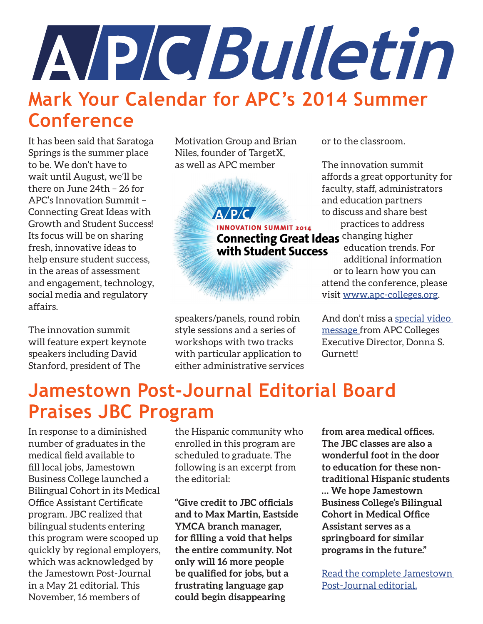

#### **Mark Your Calendar for APC's 2014 Summer Conference**

It has been said that Saratoga Springs is the summer place to be. We don't have to wait until August, we'll be there on June 24th – 26 for APC's Innovation Summit – Connecting Great Ideas with Growth and Student Success! Its focus will be on sharing fresh, innovative ideas to help ensure student success, in the areas of assessment and engagement, technology, social media and regulatory affairs.

The innovation summit will feature expert keynote speakers including David Stanford, president of The

Motivation Group and Brian Niles, founder of TargetX, as well as APC member

A/P/CA

**INNOVATION SUMMIT 2014 Connecting Great Ideas** changing higher with Student Success

speakers/panels, round robin style sessions and a series of workshops with two tracks with particular application to either administrative services or to the classroom.

The innovation summit affords a great opportunity for faculty, staff, administrators and education partners to discuss and share best practices to address education trends. For additional information or to learn how you can

attend the conference, please visit [www.apc-colleges.org](http://www.apc-colleges.org).

And don't miss a [special video](http://www.youtube.com/watch%3Fv%3DRrOBNnKr9n4)  [message](http://www.youtube.com/watch%3Fv%3DRrOBNnKr9n4) from APC Colleges Executive Director, Donna S. Gurnett!

### **Jamestown Post-Journal Editorial Board Praises JBC Program**

In response to a diminished number of graduates in the medical field available to fill local jobs, Jamestown Business College launched a Bilingual Cohort in its Medical Office Assistant Certificate program. JBC realized that bilingual students entering this program were scooped up quickly by regional employers, which was acknowledged by the Jamestown Post-Journal in a May 21 editorial. This November, 16 members of

the Hispanic community who enrolled in this program are scheduled to graduate. The following is an excerpt from the editorial:

**"Give credit to JBC officials and to Max Martin, Eastside YMCA branch manager, for filling a void that helps the entire community. Not only will 16 more people be qualified for jobs, but a frustrating language gap could begin disappearing** 

**from area medical offices. The JBC classes are also a wonderful foot in the door to education for these nontraditional Hispanic students … We hope Jamestown Business College's Bilingual Cohort in Medical Office Assistant serves as a springboard for similar programs in the future."**

[Read the complete Jamestown](http://www.post-journal.com/page/content.detail/id/642274/JBC-Program-Benefits-Entire-Community.html)  [Post-Journal editorial.](http://www.post-journal.com/page/content.detail/id/642274/JBC-Program-Benefits-Entire-Community.html)